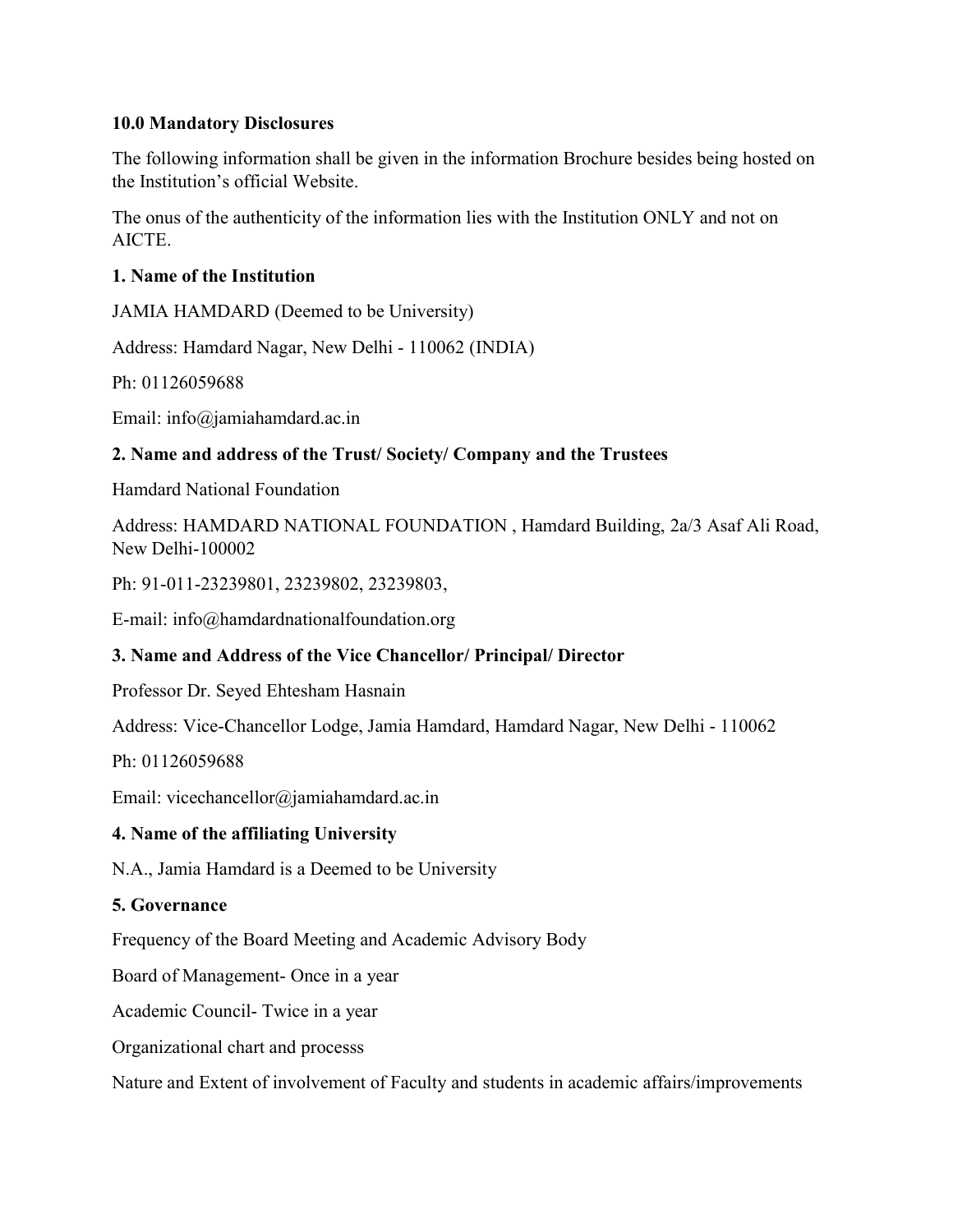### 10.0 Mandatory Disclosures

The following information shall be given in the information Brochure besides being hosted on the Institution's official Website.

The onus of the authenticity of the information lies with the Institution ONLY and not on AICTE.

## 1. Name of the Institution

JAMIA HAMDARD (Deemed to be University)

Address: Hamdard Nagar, New Delhi - 110062 (INDIA)

Ph: 01126059688

Email: info@jamiahamdard.ac.in

## 2. Name and address of the Trust/ Society/ Company and the Trustees

Hamdard National Foundation

Address: HAMDARD NATIONAL FOUNDATION , Hamdard Building, 2a/3 Asaf Ali Road, New Delhi-100002

Ph: 91-011-23239801, 23239802, 23239803,

E-mail: info@hamdardnationalfoundation.org

## 3. Name and Address of the Vice Chancellor/ Principal/ Director

Professor Dr. Seyed Ehtesham Hasnain

Address: Vice-Chancellor Lodge, Jamia Hamdard, Hamdard Nagar, New Delhi - 110062

Ph: 01126059688

Email: vicechancellor@jamiahamdard.ac.in

### 4. Name of the affiliating University

N.A., Jamia Hamdard is a Deemed to be University

### 5. Governance

Frequency of the Board Meeting and Academic Advisory Body

Board of Management- Once in a year

Academic Council- Twice in a year

Organizational chart and processs

Nature and Extent of involvement of Faculty and students in academic affairs/improvements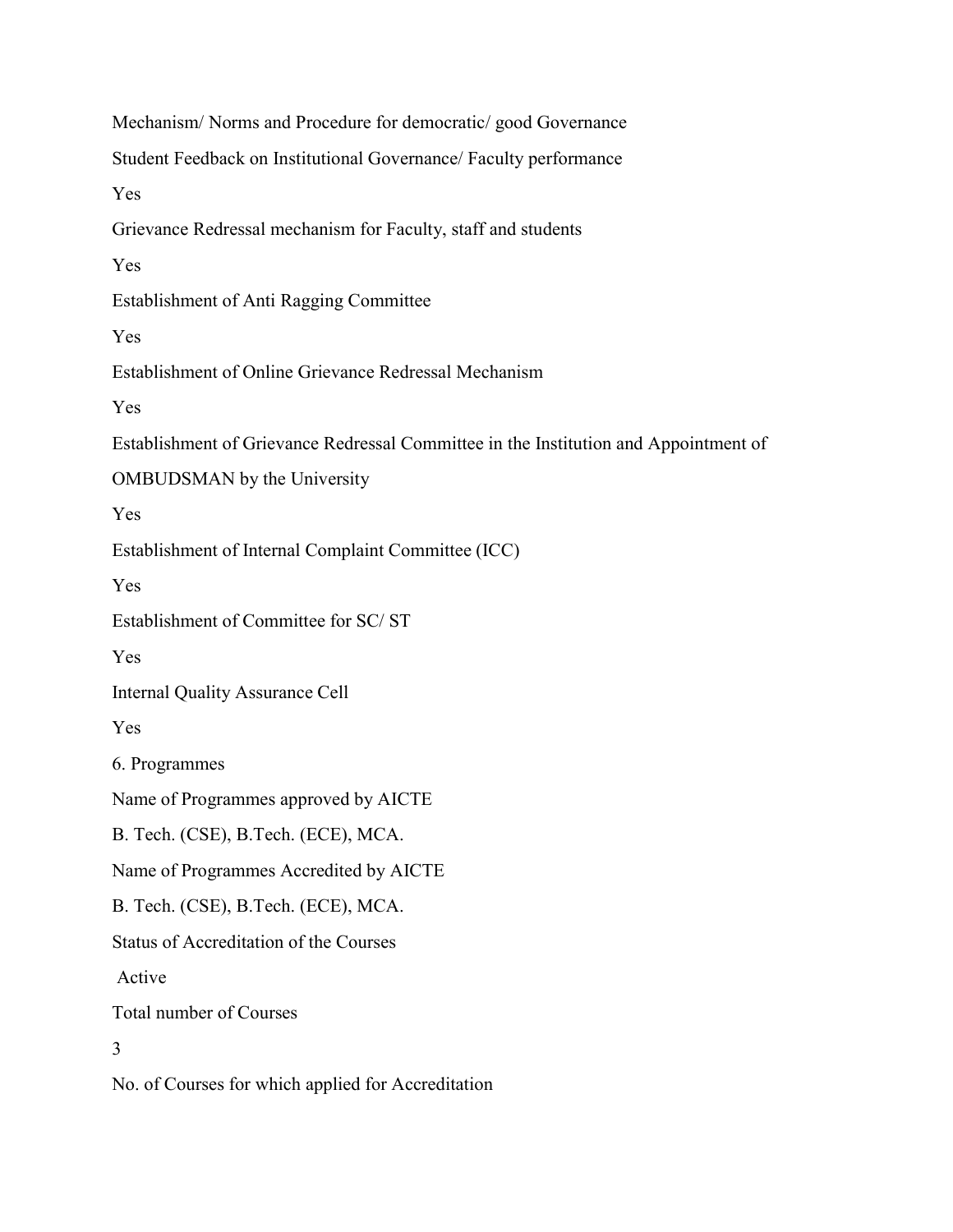Mechanism/ Norms and Procedure for democratic/ good Governance Student Feedback on Institutional Governance/ Faculty performance Yes Grievance Redressal mechanism for Faculty, staff and students Yes Establishment of Anti Ragging Committee Yes Establishment of Online Grievance Redressal Mechanism Yes Establishment of Grievance Redressal Committee in the Institution and Appointment of OMBUDSMAN by the University Yes Establishment of Internal Complaint Committee (ICC) Yes Establishment of Committee for SC/ ST Yes Internal Quality Assurance Cell Yes 6. Programmes Name of Programmes approved by AICTE B. Tech. (CSE), B.Tech. (ECE), MCA. Name of Programmes Accredited by AICTE B. Tech. (CSE), B.Tech. (ECE), MCA. Status of Accreditation of the Courses Active Total number of Courses 3 No. of Courses for which applied for Accreditation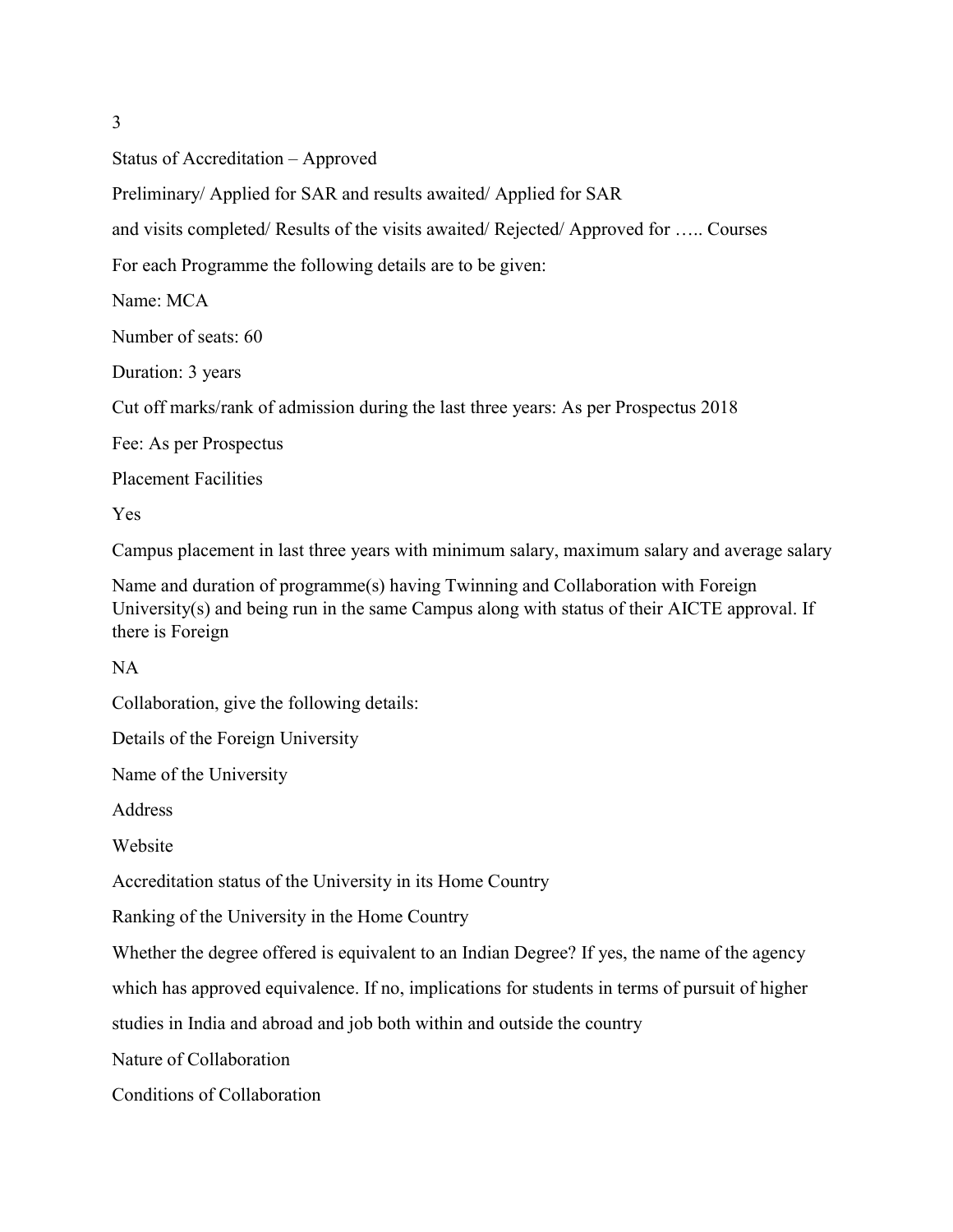3

Status of Accreditation – Approved

Preliminary/ Applied for SAR and results awaited/ Applied for SAR

and visits completed/ Results of the visits awaited/ Rejected/ Approved for ….. Courses

For each Programme the following details are to be given:

Name: MCA

Number of seats: 60

Duration: 3 years

Cut off marks/rank of admission during the last three years: As per Prospectus 2018

Fee: As per Prospectus

Placement Facilities

Yes

Campus placement in last three years with minimum salary, maximum salary and average salary

Name and duration of programme(s) having Twinning and Collaboration with Foreign University(s) and being run in the same Campus along with status of their AICTE approval. If there is Foreign

NA

Collaboration, give the following details:

Details of the Foreign University

Name of the University

Address

Website

Accreditation status of the University in its Home Country

Ranking of the University in the Home Country

Whether the degree offered is equivalent to an Indian Degree? If yes, the name of the agency

which has approved equivalence. If no, implications for students in terms of pursuit of higher

studies in India and abroad and job both within and outside the country

Nature of Collaboration

Conditions of Collaboration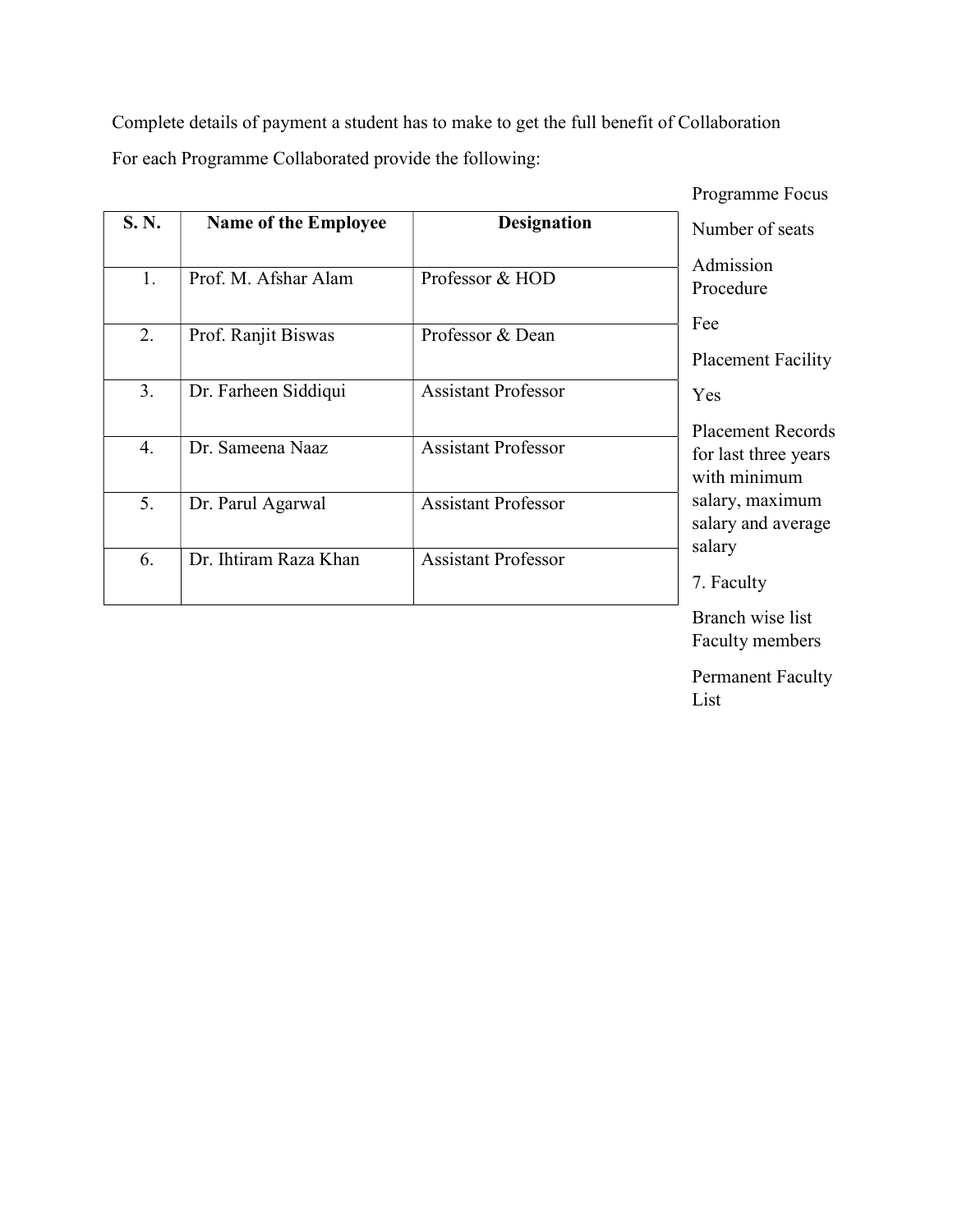Complete details of payment a student has to make to get the full benefit of Collaboration For each Programme Collaborated provide the following:

|       |                             |                            | Programme Focus                                                                                                                                                                                                                                                                                  |
|-------|-----------------------------|----------------------------|--------------------------------------------------------------------------------------------------------------------------------------------------------------------------------------------------------------------------------------------------------------------------------------------------|
| S. N. | <b>Name of the Employee</b> | <b>Designation</b>         | Number of seats                                                                                                                                                                                                                                                                                  |
| 1.    | Prof. M. Afshar Alam        | Professor & HOD            | Admission<br>Procedure                                                                                                                                                                                                                                                                           |
| 2.    | Prof. Ranjit Biswas         | Professor & Dean           | Fee                                                                                                                                                                                                                                                                                              |
|       |                             |                            | <b>Placement Facility</b>                                                                                                                                                                                                                                                                        |
| 3.    | Dr. Farheen Siddiqui        | <b>Assistant Professor</b> | Yes                                                                                                                                                                                                                                                                                              |
|       |                             |                            | <b>Placement Records</b>                                                                                                                                                                                                                                                                         |
| 4.    | Dr. Sameena Naaz            | <b>Assistant Professor</b> | for last three years<br>with minimum                                                                                                                                                                                                                                                             |
| 5.    | Dr. Parul Agarwal           | <b>Assistant Professor</b> | salary, maximum<br>salary and average                                                                                                                                                                                                                                                            |
| 6.    | Dr. Ihtiram Raza Khan       | <b>Assistant Professor</b> | salary                                                                                                                                                                                                                                                                                           |
|       |                             |                            | 7. Faculty                                                                                                                                                                                                                                                                                       |
|       |                             |                            | $\mathbf{r}$ and $\mathbf{r}$ and $\mathbf{r}$ and $\mathbf{r}$ and $\mathbf{r}$ and $\mathbf{r}$ and $\mathbf{r}$ and $\mathbf{r}$ and $\mathbf{r}$ and $\mathbf{r}$ and $\mathbf{r}$ and $\mathbf{r}$ and $\mathbf{r}$ and $\mathbf{r}$ and $\mathbf{r}$ and $\mathbf{r}$ and $\mathbf{r}$ and |

Branch wise list Faculty members

Permanent Faculty List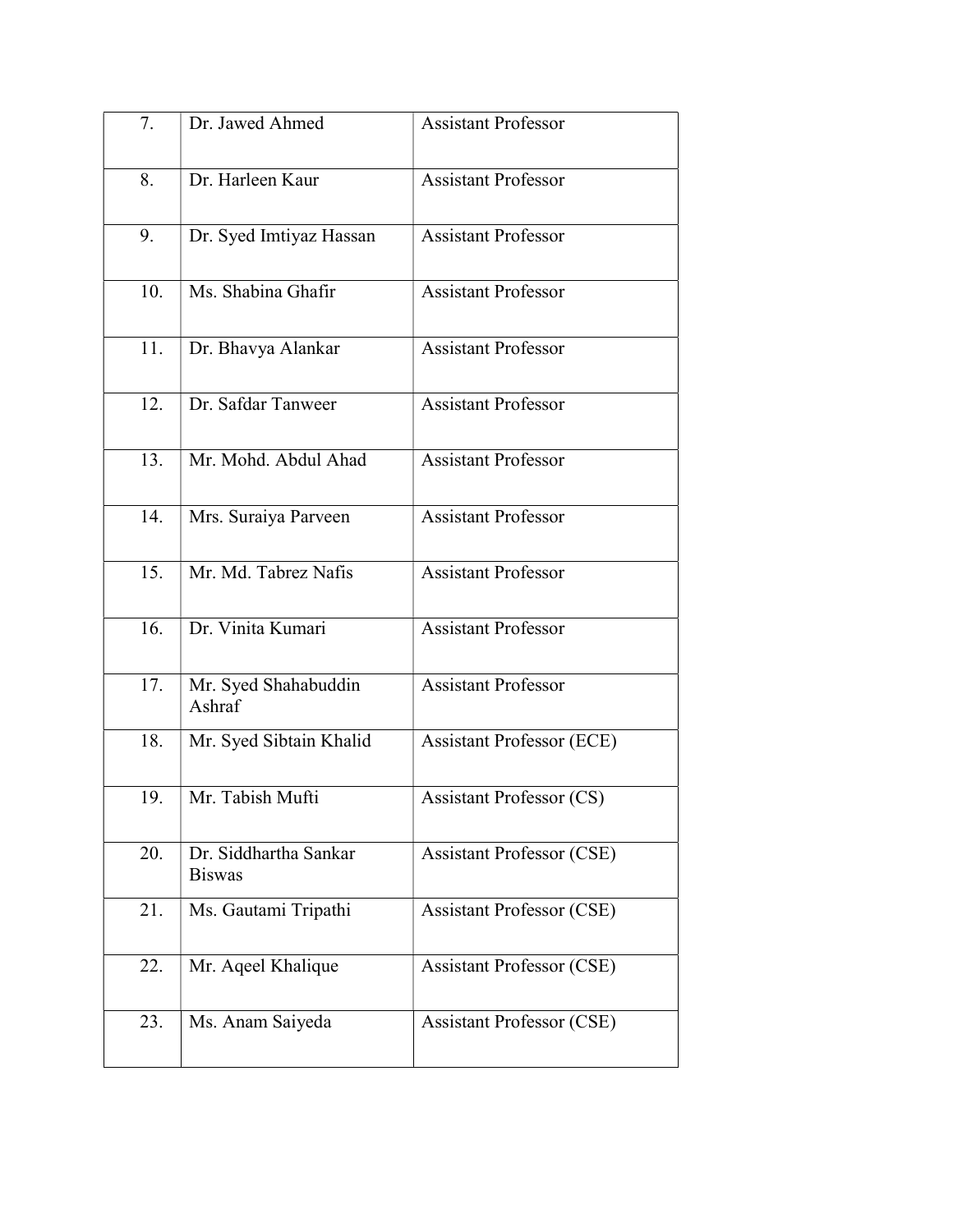| 7.  | Dr. Jawed Ahmed                        | <b>Assistant Professor</b>       |
|-----|----------------------------------------|----------------------------------|
| 8.  | Dr. Harleen Kaur                       | <b>Assistant Professor</b>       |
|     |                                        |                                  |
| 9.  | Dr. Syed Imtiyaz Hassan                | <b>Assistant Professor</b>       |
| 10. | Ms. Shabina Ghafir                     | <b>Assistant Professor</b>       |
| 11. | Dr. Bhavya Alankar                     | <b>Assistant Professor</b>       |
| 12. | Dr. Safdar Tanweer                     | <b>Assistant Professor</b>       |
| 13. | Mr. Mohd. Abdul Ahad                   | <b>Assistant Professor</b>       |
| 14. | Mrs. Suraiya Parveen                   | <b>Assistant Professor</b>       |
| 15. | Mr. Md. Tabrez Nafis                   | <b>Assistant Professor</b>       |
| 16. | Dr. Vinita Kumari                      | <b>Assistant Professor</b>       |
| 17. | Mr. Syed Shahabuddin<br>Ashraf         | <b>Assistant Professor</b>       |
| 18. | Mr. Syed Sibtain Khalid                | <b>Assistant Professor (ECE)</b> |
| 19. | Mr. Tabish Mufti                       | <b>Assistant Professor (CS)</b>  |
| 20. | Dr. Siddhartha Sankar<br><b>Biswas</b> | <b>Assistant Professor (CSE)</b> |
| 21. | Ms. Gautami Tripathi                   | <b>Assistant Professor (CSE)</b> |
| 22. | Mr. Aqeel Khalique                     | <b>Assistant Professor (CSE)</b> |
| 23. | Ms. Anam Saiyeda                       | <b>Assistant Professor (CSE)</b> |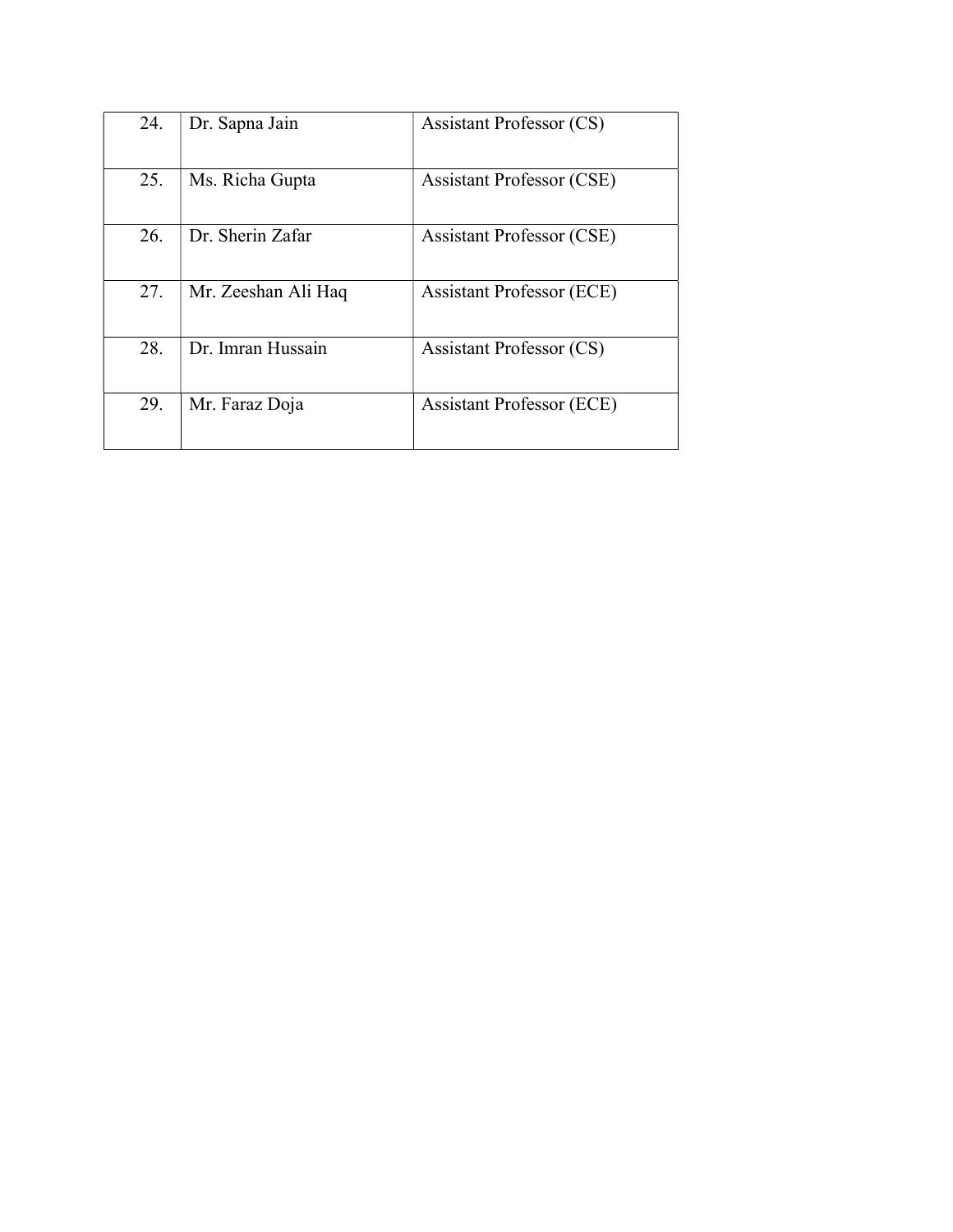| 24. | Dr. Sapna Jain      | <b>Assistant Professor (CS)</b>  |
|-----|---------------------|----------------------------------|
| 25. | Ms. Richa Gupta     | <b>Assistant Professor (CSE)</b> |
| 26. | Dr. Sherin Zafar    | <b>Assistant Professor (CSE)</b> |
| 27. | Mr. Zeeshan Ali Haq | <b>Assistant Professor (ECE)</b> |
| 28. | Dr. Imran Hussain   | <b>Assistant Professor (CS)</b>  |
| 29. | Mr. Faraz Doja      | <b>Assistant Professor (ECE)</b> |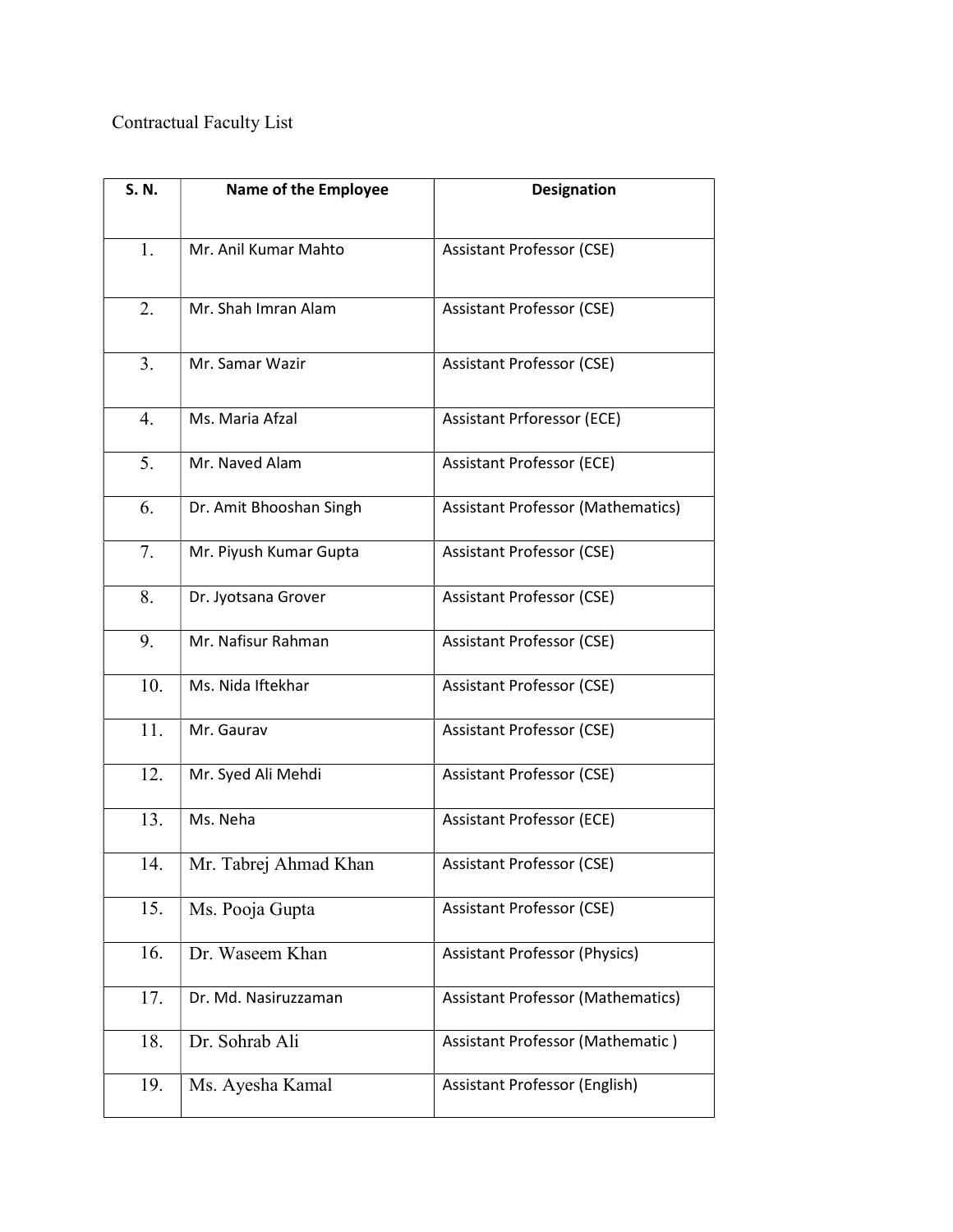# Contractual Faculty List

| S. N. | Name of the Employee    | <b>Designation</b>                       |
|-------|-------------------------|------------------------------------------|
|       |                         |                                          |
| 1.    | Mr. Anil Kumar Mahto    | <b>Assistant Professor (CSE)</b>         |
| 2.    | Mr. Shah Imran Alam     | <b>Assistant Professor (CSE)</b>         |
| 3.    | Mr. Samar Wazir         | <b>Assistant Professor (CSE)</b>         |
| 4.    | Ms. Maria Afzal         | <b>Assistant Prforessor (ECE)</b>        |
| 5.    | Mr. Naved Alam          | <b>Assistant Professor (ECE)</b>         |
| 6.    | Dr. Amit Bhooshan Singh | <b>Assistant Professor (Mathematics)</b> |
| 7.    | Mr. Piyush Kumar Gupta  | <b>Assistant Professor (CSE)</b>         |
| 8.    | Dr. Jyotsana Grover     | <b>Assistant Professor (CSE)</b>         |
| 9.    | Mr. Nafisur Rahman      | <b>Assistant Professor (CSE)</b>         |
| 10.   | Ms. Nida Iftekhar       | <b>Assistant Professor (CSE)</b>         |
| 11.   | Mr. Gaurav              | <b>Assistant Professor (CSE)</b>         |
| 12.   | Mr. Syed Ali Mehdi      | <b>Assistant Professor (CSE)</b>         |
| 13.   | Ms. Neha                | <b>Assistant Professor (ECE)</b>         |
| 14.   | Mr. Tabrej Ahmad Khan   | Assistant Professor (CSE)                |
| 15.   | Ms. Pooja Gupta         | <b>Assistant Professor (CSE)</b>         |
| 16.   | Dr. Waseem Khan         | <b>Assistant Professor (Physics)</b>     |
| 17.   | Dr. Md. Nasiruzzaman    | <b>Assistant Professor (Mathematics)</b> |
| 18.   | Dr. Sohrab Ali          | Assistant Professor (Mathematic)         |
| 19.   | Ms. Ayesha Kamal        | Assistant Professor (English)            |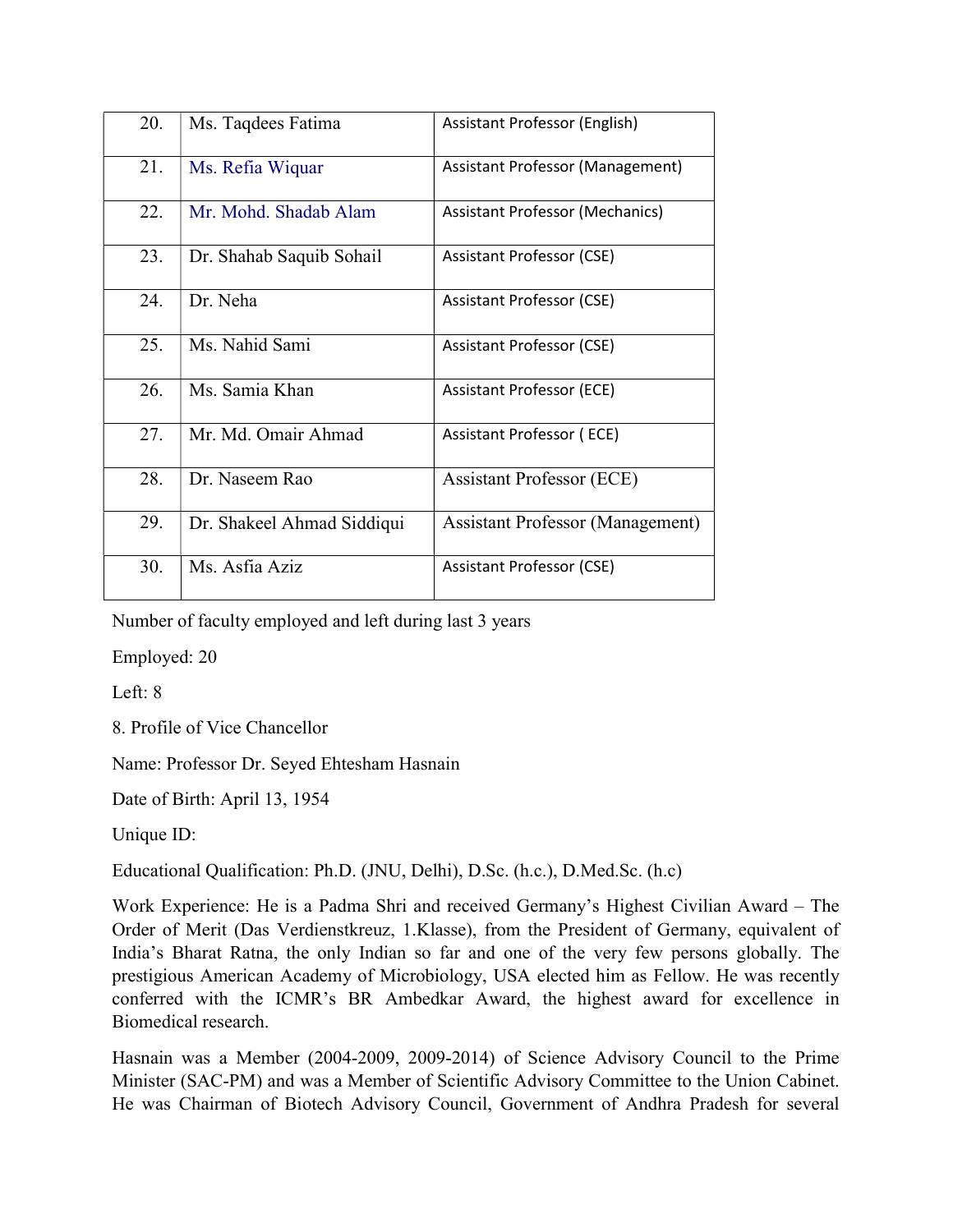| 20. | Ms. Taqdees Fatima         | Assistant Professor (English)           |
|-----|----------------------------|-----------------------------------------|
| 21. | Ms. Refia Wiquar           | <b>Assistant Professor (Management)</b> |
| 22. | Mr. Mohd. Shadab Alam      | <b>Assistant Professor (Mechanics)</b>  |
| 23. | Dr. Shahab Saquib Sohail   | <b>Assistant Professor (CSE)</b>        |
| 24. | Dr. Neha                   | <b>Assistant Professor (CSE)</b>        |
| 25. | Ms. Nahid Sami             | <b>Assistant Professor (CSE)</b>        |
| 26. | Ms. Samia Khan             | <b>Assistant Professor (ECE)</b>        |
| 27. | Mr. Md. Omair Ahmad        | Assistant Professor (ECE)               |
| 28. | Dr. Naseem Rao             | <b>Assistant Professor (ECE)</b>        |
| 29. | Dr. Shakeel Ahmad Siddiqui | <b>Assistant Professor (Management)</b> |
| 30. | Ms. Asfia Aziz             | Assistant Professor (CSE)               |

Number of faculty employed and left during last 3 years

Employed: 20

Left: 8

8. Profile of Vice Chancellor

Name: Professor Dr. Seyed Ehtesham Hasnain

Date of Birth: April 13, 1954

Unique ID:

Educational Qualification: Ph.D. (JNU, Delhi), D.Sc. (h.c.), D.Med.Sc. (h.c)

Work Experience: He is a Padma Shri and received Germany's Highest Civilian Award – The Order of Merit (Das Verdienstkreuz, 1.Klasse), from the President of Germany, equivalent of India's Bharat Ratna, the only Indian so far and one of the very few persons globally. The prestigious American Academy of Microbiology, USA elected him as Fellow. He was recently conferred with the ICMR's BR Ambedkar Award, the highest award for excellence in Biomedical research.

Hasnain was a Member (2004-2009, 2009-2014) of Science Advisory Council to the Prime Minister (SAC-PM) and was a Member of Scientific Advisory Committee to the Union Cabinet. He was Chairman of Biotech Advisory Council, Government of Andhra Pradesh for several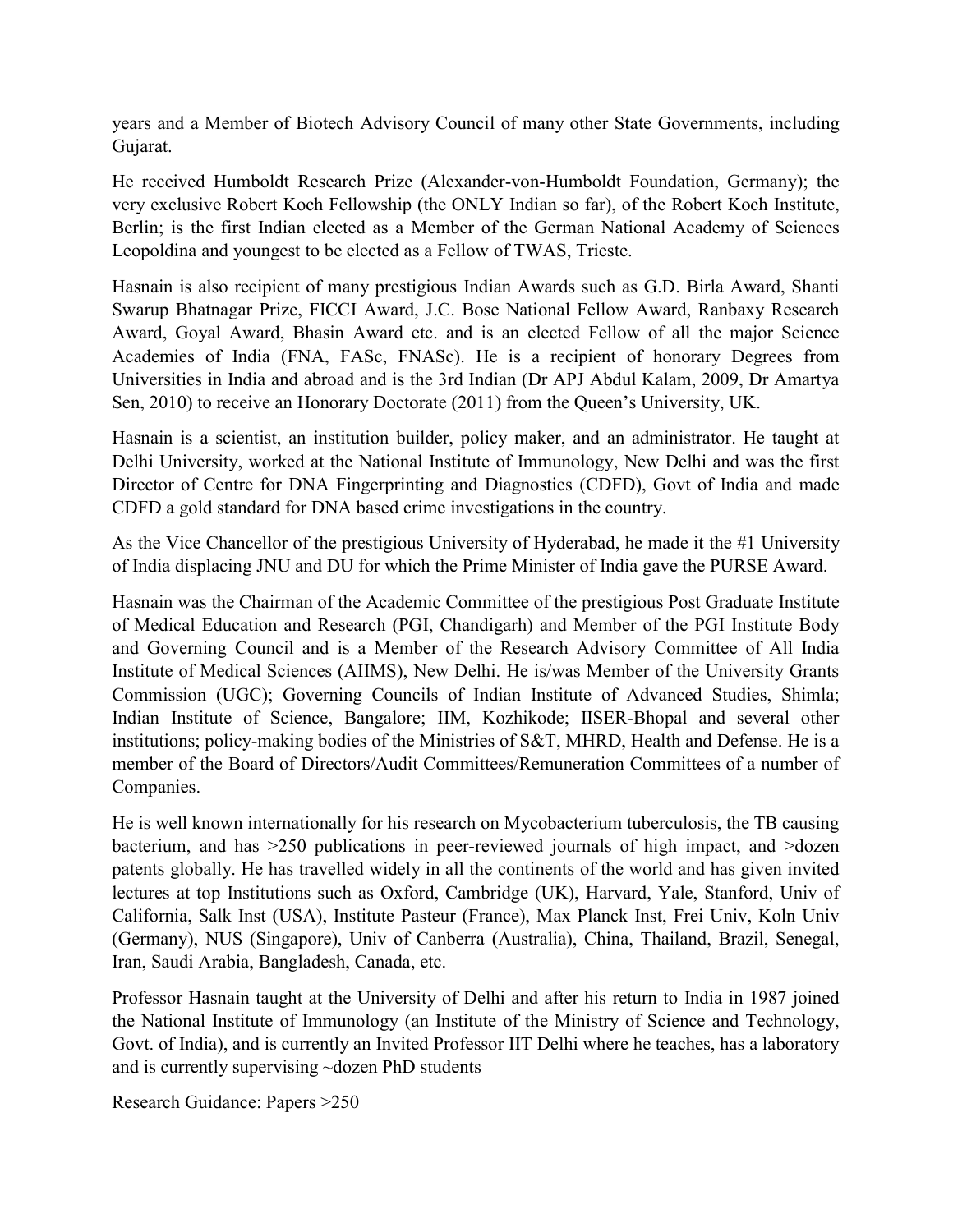years and a Member of Biotech Advisory Council of many other State Governments, including Gujarat.

He received Humboldt Research Prize (Alexander-von-Humboldt Foundation, Germany); the very exclusive Robert Koch Fellowship (the ONLY Indian so far), of the Robert Koch Institute, Berlin; is the first Indian elected as a Member of the German National Academy of Sciences Leopoldina and youngest to be elected as a Fellow of TWAS, Trieste.

Hasnain is also recipient of many prestigious Indian Awards such as G.D. Birla Award, Shanti Swarup Bhatnagar Prize, FICCI Award, J.C. Bose National Fellow Award, Ranbaxy Research Award, Goyal Award, Bhasin Award etc. and is an elected Fellow of all the major Science Academies of India (FNA, FASc, FNASc). He is a recipient of honorary Degrees from Universities in India and abroad and is the 3rd Indian (Dr APJ Abdul Kalam, 2009, Dr Amartya Sen, 2010) to receive an Honorary Doctorate (2011) from the Queen's University, UK.

Hasnain is a scientist, an institution builder, policy maker, and an administrator. He taught at Delhi University, worked at the National Institute of Immunology, New Delhi and was the first Director of Centre for DNA Fingerprinting and Diagnostics (CDFD), Govt of India and made CDFD a gold standard for DNA based crime investigations in the country.

As the Vice Chancellor of the prestigious University of Hyderabad, he made it the #1 University of India displacing JNU and DU for which the Prime Minister of India gave the PURSE Award.

Hasnain was the Chairman of the Academic Committee of the prestigious Post Graduate Institute of Medical Education and Research (PGI, Chandigarh) and Member of the PGI Institute Body and Governing Council and is a Member of the Research Advisory Committee of All India Institute of Medical Sciences (AIIMS), New Delhi. He is/was Member of the University Grants Commission (UGC); Governing Councils of Indian Institute of Advanced Studies, Shimla; Indian Institute of Science, Bangalore; IIM, Kozhikode; IISER-Bhopal and several other institutions; policy-making bodies of the Ministries of S&T, MHRD, Health and Defense. He is a member of the Board of Directors/Audit Committees/Remuneration Committees of a number of Companies.

He is well known internationally for his research on Mycobacterium tuberculosis, the TB causing bacterium, and has >250 publications in peer-reviewed journals of high impact, and >dozen patents globally. He has travelled widely in all the continents of the world and has given invited lectures at top Institutions such as Oxford, Cambridge (UK), Harvard, Yale, Stanford, Univ of California, Salk Inst (USA), Institute Pasteur (France), Max Planck Inst, Frei Univ, Koln Univ (Germany), NUS (Singapore), Univ of Canberra (Australia), China, Thailand, Brazil, Senegal, Iran, Saudi Arabia, Bangladesh, Canada, etc.

Professor Hasnain taught at the University of Delhi and after his return to India in 1987 joined the National Institute of Immunology (an Institute of the Ministry of Science and Technology, Govt. of India), and is currently an Invited Professor IIT Delhi where he teaches, has a laboratory and is currently supervising ~dozen PhD students

Research Guidance: Papers >250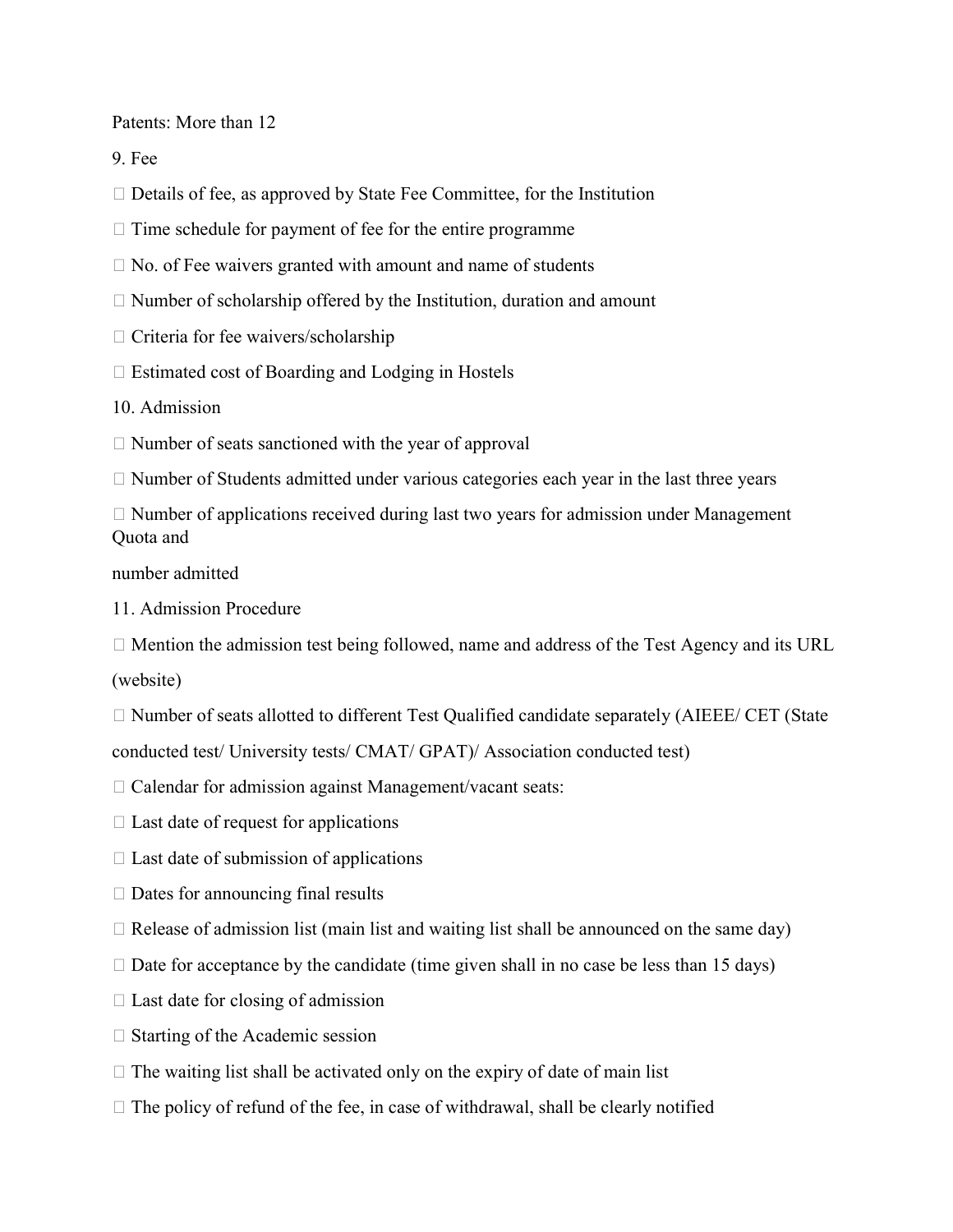Patents: More than 12

9. Fee

 $\Box$  Details of fee, as approved by State Fee Committee, for the Institution

 $\Box$  Time schedule for payment of fee for the entire programme

 $\Box$  No. of Fee waivers granted with amount and name of students

- $\Box$  Number of scholarship offered by the Institution, duration and amount
- $\Box$  Criteria for fee waivers/scholarship
- $\Box$  Estimated cost of Boarding and Lodging in Hostels

10. Admission

 $\Box$  Number of seats sanctioned with the year of approval

 $\Box$  Number of Students admitted under various categories each year in the last three years

 $\Box$  Number of applications received during last two years for admission under Management Quota and

number admitted

11. Admission Procedure

 $\Box$  Mention the admission test being followed, name and address of the Test Agency and its URL (website)

 $\Box$  Number of seats allotted to different Test Qualified candidate separately (AIEEE/ CET (State conducted test/ University tests/ CMAT/ GPAT)/ Association conducted test)

 $\Box$  Calendar for admission against Management/vacant seats:

 $\Box$  Last date of request for applications

 $\Box$  Last date of submission of applications

 $\Box$  Dates for announcing final results

 $\Box$  Release of admission list (main list and waiting list shall be announced on the same day)

 $\Box$  Date for acceptance by the candidate (time given shall in no case be less than 15 days)

 $\Box$  Last date for closing of admission

 $\Box$  Starting of the Academic session

 $\Box$  The waiting list shall be activated only on the expiry of date of main list

 $\Box$  The policy of refund of the fee, in case of withdrawal, shall be clearly notified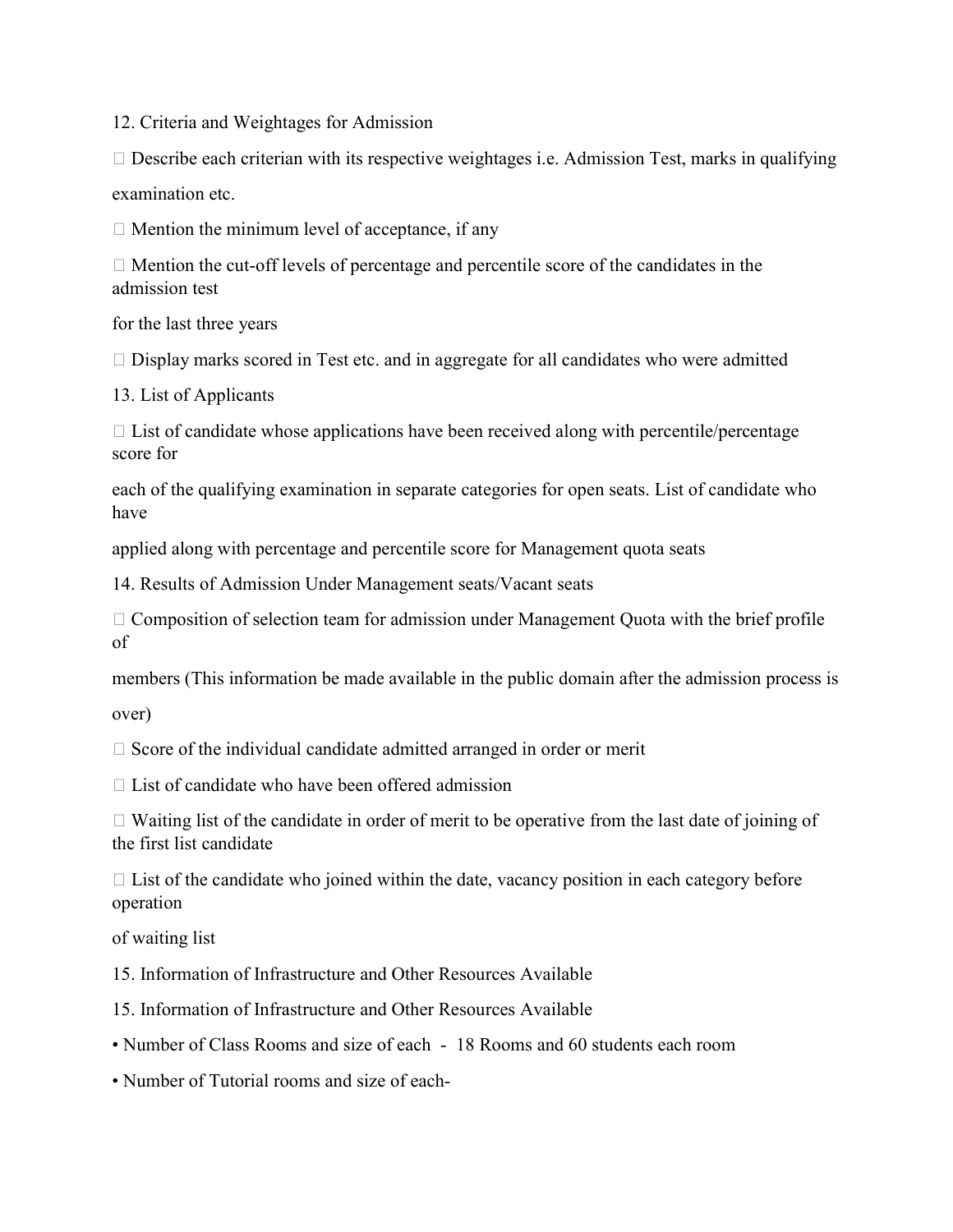12. Criteria and Weightages for Admission

 $\Box$  Describe each criterian with its respective weightages i.e. Admission Test, marks in qualifying examination etc.

 $\Box$  Mention the minimum level of acceptance, if any

 $\Box$  Mention the cut-off levels of percentage and percentile score of the candidates in the admission test

for the last three years

 $\Box$  Display marks scored in Test etc. and in aggregate for all candidates who were admitted

13. List of Applicants

 $\Box$  List of candidate whose applications have been received along with percentile/percentage score for

each of the qualifying examination in separate categories for open seats. List of candidate who have

applied along with percentage and percentile score for Management quota seats

14. Results of Admission Under Management seats/Vacant seats

 $\Box$  Composition of selection team for admission under Management Quota with the brief profile of

members (This information be made available in the public domain after the admission process is over)

 $\Box$  Score of the individual candidate admitted arranged in order or merit

 $\Box$  List of candidate who have been offered admission

 $\Box$  Waiting list of the candidate in order of merit to be operative from the last date of joining of the first list candidate

 $\Box$  List of the candidate who joined within the date, vacancy position in each category before operation

of waiting list

15. Information of Infrastructure and Other Resources Available

15. Information of Infrastructure and Other Resources Available

• Number of Class Rooms and size of each - 18 Rooms and 60 students each room

• Number of Tutorial rooms and size of each-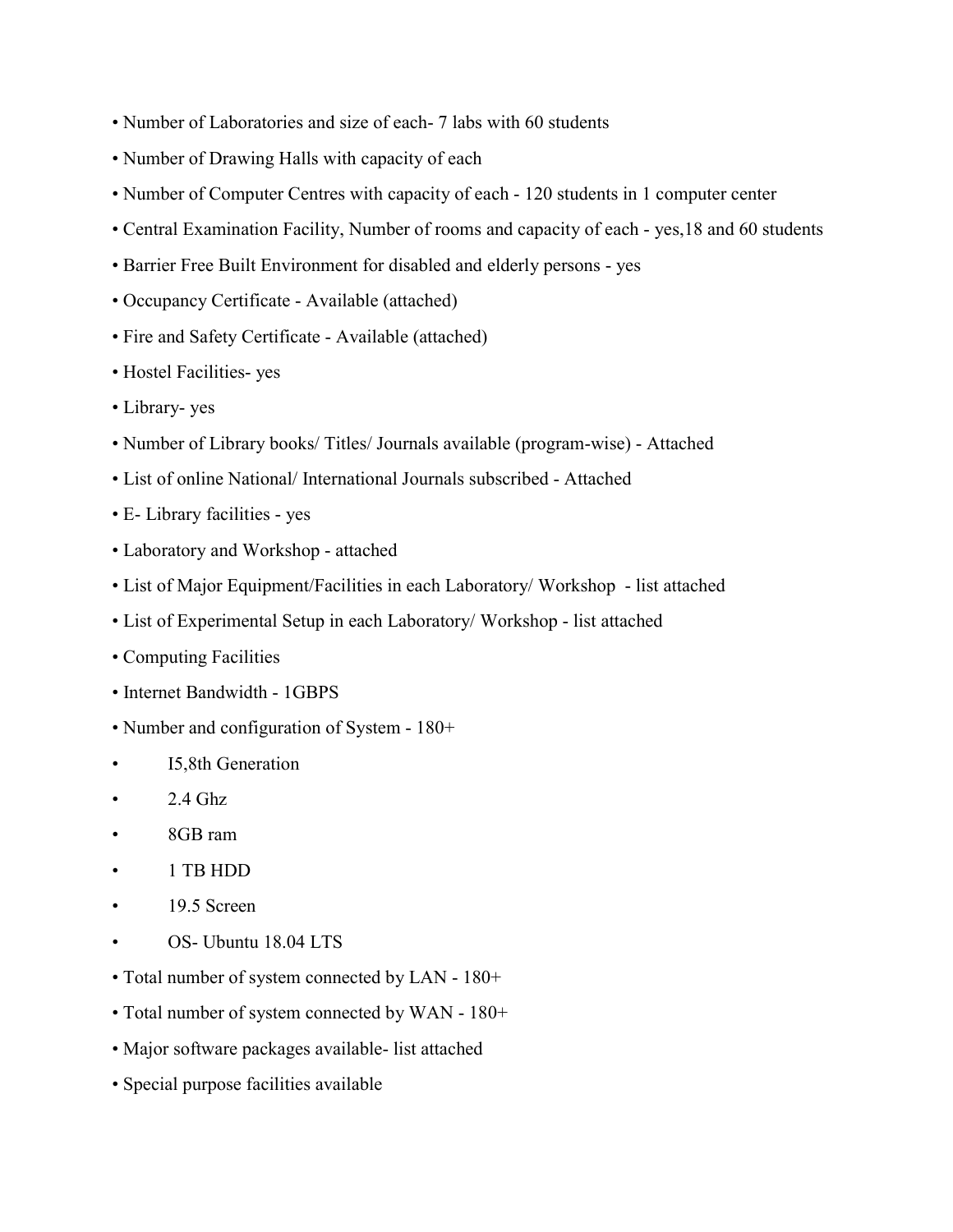- Number of Laboratories and size of each- 7 labs with 60 students
- Number of Drawing Halls with capacity of each
- Number of Computer Centres with capacity of each 120 students in 1 computer center
- Central Examination Facility, Number of rooms and capacity of each yes,18 and 60 students
- Barrier Free Built Environment for disabled and elderly persons yes
- Occupancy Certificate Available (attached)
- Fire and Safety Certificate Available (attached)
- Hostel Facilities- yes
- Library- yes
- Number of Library books/ Titles/ Journals available (program-wise) Attached
- List of online National/ International Journals subscribed Attached
- E- Library facilities yes
- Laboratory and Workshop attached
- List of Major Equipment/Facilities in each Laboratory/ Workshop list attached
- List of Experimental Setup in each Laboratory/ Workshop list attached
- Computing Facilities
- Internet Bandwidth 1GBPS
- Number and configuration of System 180+
- I5,8th Generation
- $2.4$  Ghz
- 8GB ram
- 1 TB HDD
- 19.5 Screen
- OS- Ubuntu 18.04 LTS
- Total number of system connected by LAN 180+
- Total number of system connected by WAN 180+
- Major software packages available- list attached
- Special purpose facilities available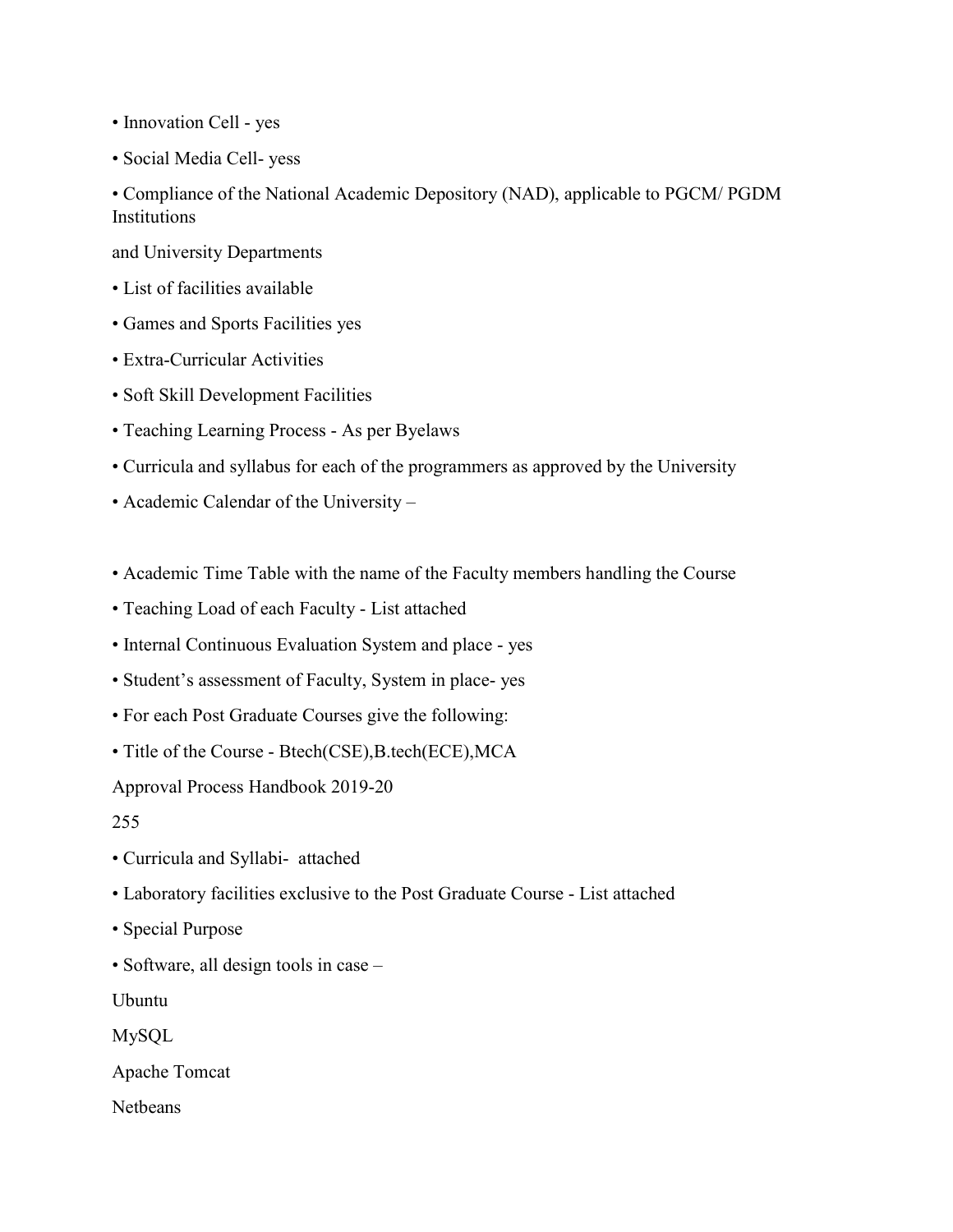- Innovation Cell yes
- Social Media Cell- yess

• Compliance of the National Academic Depository (NAD), applicable to PGCM/ PGDM Institutions

and University Departments

- List of facilities available
- Games and Sports Facilities yes
- Extra-Curricular Activities
- Soft Skill Development Facilities
- Teaching Learning Process As per Byelaws
- Curricula and syllabus for each of the programmers as approved by the University
- Academic Calendar of the University –
- Academic Time Table with the name of the Faculty members handling the Course
- Teaching Load of each Faculty List attached
- Internal Continuous Evaluation System and place yes
- Student's assessment of Faculty, System in place- yes
- For each Post Graduate Courses give the following:
- Title of the Course Btech(CSE),B.tech(ECE),MCA

Approval Process Handbook 2019-20

- 255
- Curricula and Syllabi- attached
- Laboratory facilities exclusive to the Post Graduate Course List attached
- Special Purpose
- Software, all design tools in case –

Ubuntu

MySQL

Apache Tomcat

Netbeans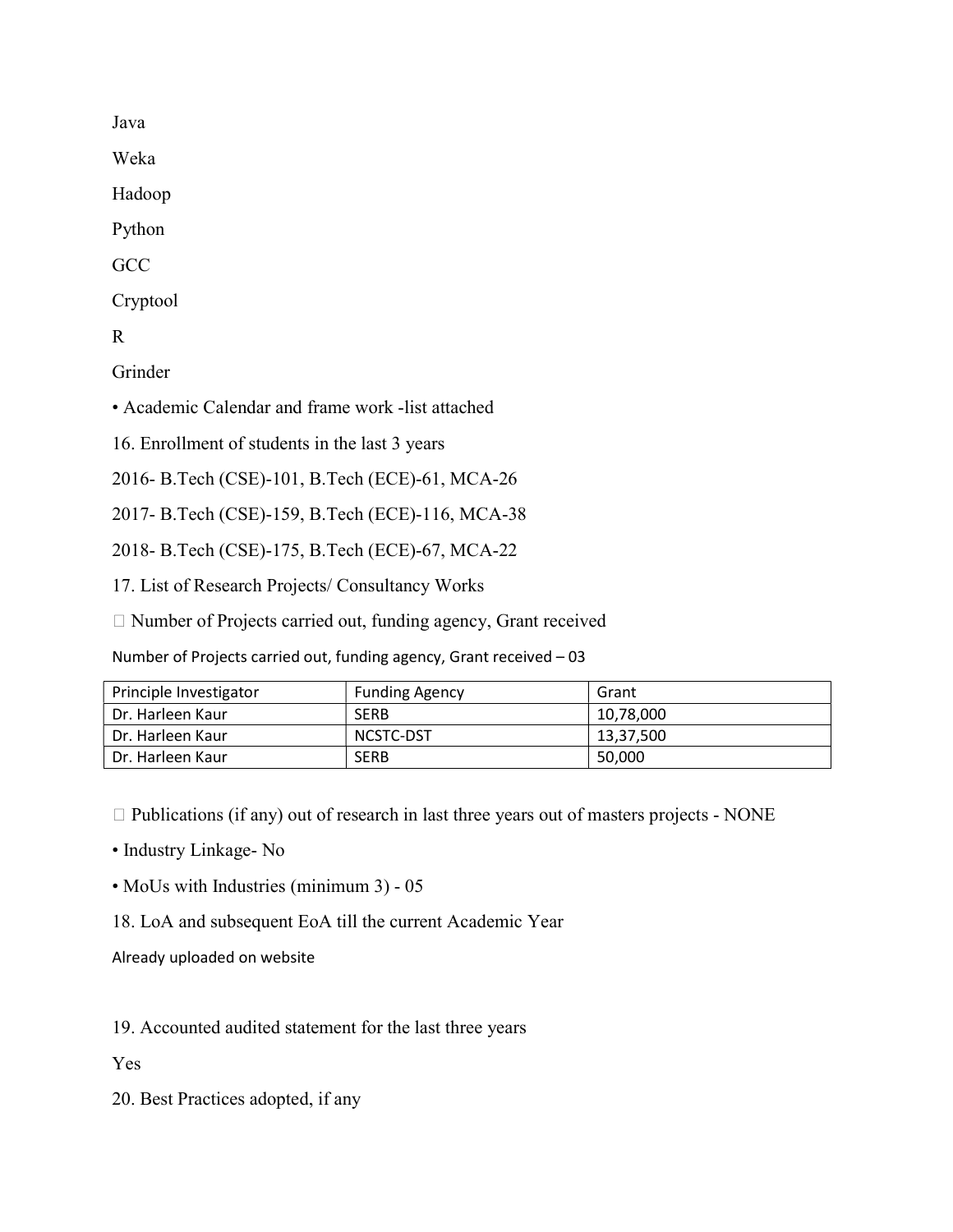Java

Weka

Hadoop

Python

**GCC** 

Cryptool

R

Grinder

• Academic Calendar and frame work -list attached

16. Enrollment of students in the last 3 years

2016- B.Tech (CSE)-101, B.Tech (ECE)-61, MCA-26

2017- B.Tech (CSE)-159, B.Tech (ECE)-116, MCA-38

2018- B.Tech (CSE)-175, B.Tech (ECE)-67, MCA-22

17. List of Research Projects/ Consultancy Works

 $\Box$  Number of Projects carried out, funding agency, Grant received

Number of Projects carried out, funding agency, Grant received – 03

| Principle Investigator | <b>Funding Agency</b> | Grant     |
|------------------------|-----------------------|-----------|
| Dr. Harleen Kaur       | <b>SERB</b>           | 10,78,000 |
| Dr. Harleen Kaur       | NCSTC-DST             | 13,37,500 |
| Dr. Harleen Kaur       | <b>SERB</b>           | 50,000    |

 $\Box$  Publications (if any) out of research in last three years out of masters projects - NONE

• Industry Linkage- No

• MoUs with Industries (minimum 3) - 05

18. LoA and subsequent EoA till the current Academic Year

Already uploaded on website

19. Accounted audited statement for the last three years

Yes

20. Best Practices adopted, if any